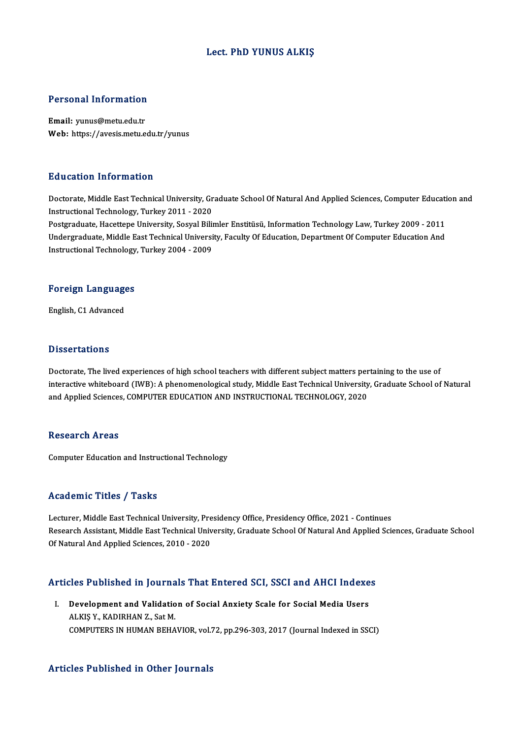## Lect. PhD YUNUS ALKIŞ

# Personal Information

Personal Information<br>Email: yunus@metu.edu.tr<br>Web: https://avesis.metu.e Email: yunus@metu.edu.tr<br>Web: https://avesis.metu.edu.tr/yunus

### Education Information

Education Information<br>Doctorate, Middle East Technical University, Graduate School Of Natural And Applied Sciences, Computer Education and<br>Instructional Technology, Turkey 2011 - 2020 Instruction<br>Instructional Technology, Turkey 2011 - 2020<br>Instructional Technology, Turkey 2011 - 2020<br>Postanaduate Hacettone University, Secuel Pili Doctorate, Middle East Technical University, Graduate School Of Natural And Applied Sciences, Computer Educati<br>Instructional Technology, Turkey 2011 - 2020<br>Postgraduate, Hacettepe University, Sosyal Bilimler Enstitüsü, Inf

Instructional Technology, Turkey 2011 - 2020<br>Postgraduate, Hacettepe University, Sosyal Bilimler Enstitüsü, Information Technology Law, Turkey 2009 - 2011<br>Undergraduate, Middle East Technical University, Faculty Of Educati Postgraduate, Hacettepe University, Sosyal Bilii<br>Undergraduate, Middle East Technical Universi<br>Instructional Technology, Turkey 2004 - 2009

## nstructional rechnology<br>Foreign Languages F<mark>oreign Languag</mark>e<br>English, C1 Advanced

English, C1 Advanced<br>Dissertations

Doctorate, The lived experiences of high school teachers with different subject matters pertaining to the use of interactive<br>interactive, The lived experiences of high school teachers with different subject matters pertaining to the use of<br>interactive whiteboard (IWB): A phenomenological study, Middle East Technical University, Gradu Doctorate, The lived experiences of high school teachers with different subject matters per<br>interactive whiteboard (IWB): A phenomenological study, Middle East Technical University<br>and Applied Sciences, COMPUTER EDUCATION and Applied Sciences, COMPUTER EDUCATION AND INSTRUCTIONAL TECHNOLOGY, 2020<br>Research Areas

Computer Education and Instructional Technology

## Academic Titles / Tasks

Academic Titles / Tasks<br>Lecturer, Middle East Technical University, Presidency Office, Presidency Office, 2021 - Continues<br>Pesearsh Assistant Middle East Technical University, Craduate School Of Natural And Annlied Sci Research Assistant, Middle East Technical University, Graduate School Of Natural And Applied Sciences, Graduate School<br>Of Natural And Applied Sciences, 2010 - 2020 Lecturer, Middle East Technical University, Pre<br>Research Assistant, Middle East Technical Univ<br>Of Natural And Applied Sciences, 2010 - 2020

# or Natural And Applied Sciences, 2010 - 2020<br>Articles Published in Journals That Entered SCI, SSCI and AHCI Indexes

rticles Published in Journals That Entered SCI, SSCI and AHCI Indexe<br>I. Development and Validation of Social Anxiety Scale for Social Media Users<br>ALKIS V, KADIBHAN 7, Set M I. Development and Validation of Social Anxiety Scale for Social Media Users<br>ALKIŞY., KADIRHAN Z., Sat M. COMPUTERS INHUMANBEHAVIOR,vol.72,pp.296-303,2017 (Journal Indexed inSSCI)

### Articles Published in Other Journals